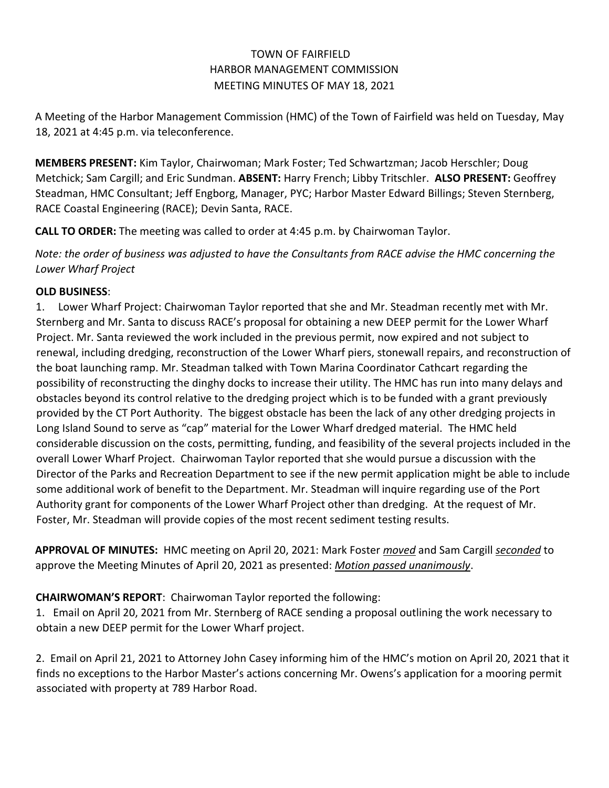## TOWN OF FAIRFIELD HARBOR MANAGEMENT COMMISSION MEETING MINUTES OF MAY 18, 2021

A Meeting of the Harbor Management Commission (HMC) of the Town of Fairfield was held on Tuesday, May 18, 2021 at 4:45 p.m. via teleconference.

**MEMBERS PRESENT:** Kim Taylor, Chairwoman; Mark Foster; Ted Schwartzman; Jacob Herschler; Doug Metchick; Sam Cargill; and Eric Sundman. **ABSENT:** Harry French; Libby Tritschler. **ALSO PRESENT:** Geoffrey Steadman, HMC Consultant; Jeff Engborg, Manager, PYC; Harbor Master Edward Billings; Steven Sternberg, RACE Coastal Engineering (RACE); Devin Santa, RACE.

**CALL TO ORDER:** The meeting was called to order at 4:45 p.m. by Chairwoman Taylor.

*Note: the order of business was adjusted to have the Consultants from RACE advise the HMC concerning the Lower Wharf Project*

### **OLD BUSINESS**:

1. Lower Wharf Project: Chairwoman Taylor reported that she and Mr. Steadman recently met with Mr. Sternberg and Mr. Santa to discuss RACE's proposal for obtaining a new DEEP permit for the Lower Wharf Project. Mr. Santa reviewed the work included in the previous permit, now expired and not subject to renewal, including dredging, reconstruction of the Lower Wharf piers, stonewall repairs, and reconstruction of the boat launching ramp. Mr. Steadman talked with Town Marina Coordinator Cathcart regarding the possibility of reconstructing the dinghy docks to increase their utility. The HMC has run into many delays and obstacles beyond its control relative to the dredging project which is to be funded with a grant previously provided by the CT Port Authority. The biggest obstacle has been the lack of any other dredging projects in Long Island Sound to serve as "cap" material for the Lower Wharf dredged material. The HMC held considerable discussion on the costs, permitting, funding, and feasibility of the several projects included in the overall Lower Wharf Project. Chairwoman Taylor reported that she would pursue a discussion with the Director of the Parks and Recreation Department to see if the new permit application might be able to include some additional work of benefit to the Department. Mr. Steadman will inquire regarding use of the Port Authority grant for components of the Lower Wharf Project other than dredging. At the request of Mr. Foster, Mr. Steadman will provide copies of the most recent sediment testing results.

**APPROVAL OF MINUTES:** HMC meeting on April 20, 2021: Mark Foster *moved* and Sam Cargill *seconded* to approve the Meeting Minutes of April 20, 2021 as presented: *Motion passed unanimously*.

# **CHAIRWOMAN'S REPORT**: Chairwoman Taylor reported the following:

1. Email on April 20, 2021 from Mr. Sternberg of RACE sending a proposal outlining the work necessary to obtain a new DEEP permit for the Lower Wharf project.

2. Email on April 21, 2021 to Attorney John Casey informing him of the HMC's motion on April 20, 2021 that it finds no exceptions to the Harbor Master's actions concerning Mr. Owens's application for a mooring permit associated with property at 789 Harbor Road.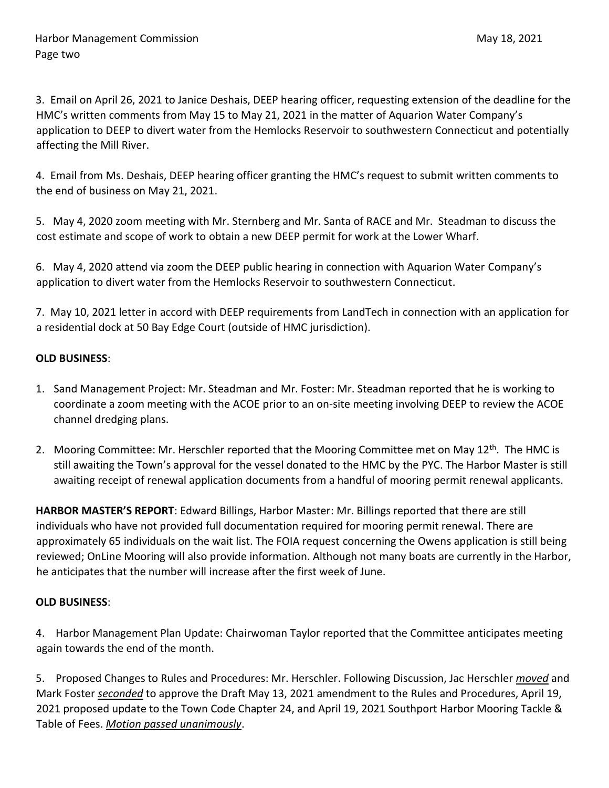3. Email on April 26, 2021 to Janice Deshais, DEEP hearing officer, requesting extension of the deadline for the HMC's written comments from May 15 to May 21, 2021 in the matter of Aquarion Water Company's application to DEEP to divert water from the Hemlocks Reservoir to southwestern Connecticut and potentially affecting the Mill River.

4. Email from Ms. Deshais, DEEP hearing officer granting the HMC's request to submit written comments to the end of business on May 21, 2021.

5. May 4, 2020 zoom meeting with Mr. Sternberg and Mr. Santa of RACE and Mr. Steadman to discuss the cost estimate and scope of work to obtain a new DEEP permit for work at the Lower Wharf.

6. May 4, 2020 attend via zoom the DEEP public hearing in connection with Aquarion Water Company's application to divert water from the Hemlocks Reservoir to southwestern Connecticut.

7. May 10, 2021 letter in accord with DEEP requirements from LandTech in connection with an application for a residential dock at 50 Bay Edge Court (outside of HMC jurisdiction).

### **OLD BUSINESS**:

- 1. Sand Management Project: Mr. Steadman and Mr. Foster: Mr. Steadman reported that he is working to coordinate a zoom meeting with the ACOE prior to an on-site meeting involving DEEP to review the ACOE channel dredging plans.
- 2. Mooring Committee: Mr. Herschler reported that the Mooring Committee met on May 12<sup>th</sup>. The HMC is still awaiting the Town's approval for the vessel donated to the HMC by the PYC. The Harbor Master is still awaiting receipt of renewal application documents from a handful of mooring permit renewal applicants.

**HARBOR MASTER'S REPORT**: Edward Billings, Harbor Master: Mr. Billings reported that there are still individuals who have not provided full documentation required for mooring permit renewal. There are approximately 65 individuals on the wait list. The FOIA request concerning the Owens application is still being reviewed; OnLine Mooring will also provide information. Although not many boats are currently in the Harbor, he anticipates that the number will increase after the first week of June.

### **OLD BUSINESS**:

4. Harbor Management Plan Update: Chairwoman Taylor reported that the Committee anticipates meeting again towards the end of the month.

5. Proposed Changes to Rules and Procedures: Mr. Herschler. Following Discussion, Jac Herschler *moved* and Mark Foster *seconded* to approve the Draft May 13, 2021 amendment to the Rules and Procedures, April 19, 2021 proposed update to the Town Code Chapter 24, and April 19, 2021 Southport Harbor Mooring Tackle & Table of Fees. *Motion passed unanimously*.